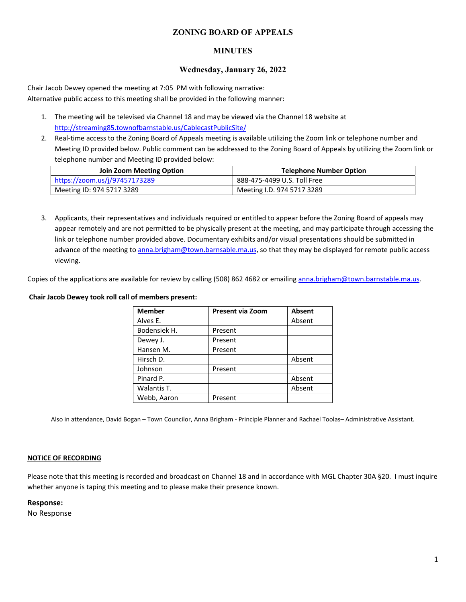#### **ZONING BOARD OF APPEALS**

#### **MINUTES**

#### **Wednesday, January 26, 2022**

Chair Jacob Dewey opened the meeting at 7:05 PM with following narrative: Alternative public access to this meeting shall be provided in the following manner:

- 1. The meeting will be televised via Channel 18 and may be viewed via the Channel 18 website at http://streaming85.townofbarnstable.us/CablecastPublicSite/
- 2. Real-time access to the Zoning Board of Appeals meeting is available utilizing the Zoom link or telephone number and Meeting ID provided below. Public comment can be addressed to the Zoning Board of Appeals by utilizing the Zoom link or telephone number and Meeting ID provided below:

| <b>Join Zoom Meeting Option</b> | <b>Telephone Number Option</b> |  |
|---------------------------------|--------------------------------|--|
| https://zoom.us/j/97457173289   | 888-475-4499 U.S. Toll Free    |  |
| Meeting ID: 974 5717 3289       | Meeting I.D. 974 5717 3289     |  |

3. Applicants, their representatives and individuals required or entitled to appear before the Zoning Board of appeals may appear remotely and are not permitted to be physically present at the meeting, and may participate through accessing the link or telephone number provided above. Documentary exhibits and/or visual presentations should be submitted in advance of the meeting to anna.brigham@town.barnsable.ma.us, so that they may be displayed for remote public access viewing.

Copies of the applications are available for review by calling (508) 862 4682 or emailing anna.brigham@town.barnstable.ma.us.

#### **Chair Jacob Dewey took roll call of members present:**

| <b>Member</b> | <b>Present via Zoom</b> | <b>Absent</b> |
|---------------|-------------------------|---------------|
| Alves E.      |                         | Absent        |
| Bodensiek H.  | Present                 |               |
| Dewey J.      | Present                 |               |
| Hansen M.     | Present                 |               |
| Hirsch D.     |                         | Absent        |
| Johnson       | Present                 |               |
| Pinard P.     |                         | Absent        |
| Walantis T.   |                         | Absent        |
| Webb, Aaron   | Present                 |               |

Also in attendance, David Bogan – Town Councilor, Anna Brigham - Principle Planner and Rachael Toolas– Administrative Assistant.

#### **NOTICE OF RECORDING**

Please note that this meeting is recorded and broadcast on Channel 18 and in accordance with MGL Chapter 30A §20. I must inquire whether anyone is taping this meeting and to please make their presence known.

#### **Response:**

No Response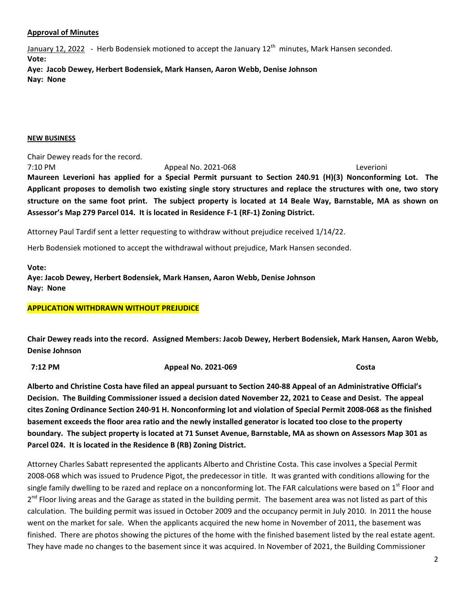#### **Approval of Minutes**

January 12, 2022 - Herb Bodensiek motioned to accept the January  $12<sup>th</sup>$  minutes, Mark Hansen seconded. **Vote:** 

**Aye: Jacob Dewey, Herbert Bodensiek, Mark Hansen, Aaron Webb, Denise Johnson Nay: None** 

#### **NEW BUSINESS**

Chair Dewey reads for the record. 7:10 PM Appeal No. 2021-068 Leverioni **Maureen Leverioni has applied for a Special Permit pursuant to Section 240.91 (H)(3) Nonconforming Lot. The Applicant proposes to demolish two existing single story structures and replace the structures with one, two story structure on the same foot print. The subject property is located at 14 Beale Way, Barnstable, MA as shown on Assessor's Map 279 Parcel 014. It is located in Residence F-1 (RF-1) Zoning District.** 

Attorney Paul Tardif sent a letter requesting to withdraw without prejudice received 1/14/22.

Herb Bodensiek motioned to accept the withdrawal without prejudice, Mark Hansen seconded.

**Vote:** 

**Aye: Jacob Dewey, Herbert Bodensiek, Mark Hansen, Aaron Webb, Denise Johnson Nay: None** 

#### **APPLICATION WITHDRAWN WITHOUT PREJUDICE**

**Chair Dewey reads into the record. Assigned Members: Jacob Dewey, Herbert Bodensiek, Mark Hansen, Aaron Webb, Denise Johnson** 

 **7:12 PM Appeal No. 2021-069 Costa** 

**Alberto and Christine Costa have filed an appeal pursuant to Section 240-88 Appeal of an Administrative Official's Decision. The Building Commissioner issued a decision dated November 22, 2021 to Cease and Desist. The appeal cites Zoning Ordinance Section 240-91 H. Nonconforming lot and violation of Special Permit 2008-068 as the finished basement exceeds the floor area ratio and the newly installed generator is located too close to the property boundary. The subject property is located at 71 Sunset Avenue, Barnstable, MA as shown on Assessors Map 301 as Parcel 024. It is located in the Residence B (RB) Zoning District.** 

Attorney Charles Sabatt represented the applicants Alberto and Christine Costa. This case involves a Special Permit 2008-068 which was issued to Prudence Pigot, the predecessor in title. It was granted with conditions allowing for the single family dwelling to be razed and replace on a nonconforming lot. The FAR calculations were based on 1<sup>st</sup> Floor and  $2<sup>nd</sup>$  Floor living areas and the Garage as stated in the building permit. The basement area was not listed as part of this calculation. The building permit was issued in October 2009 and the occupancy permit in July 2010. In 2011 the house went on the market for sale. When the applicants acquired the new home in November of 2011, the basement was finished. There are photos showing the pictures of the home with the finished basement listed by the real estate agent. They have made no changes to the basement since it was acquired. In November of 2021, the Building Commissioner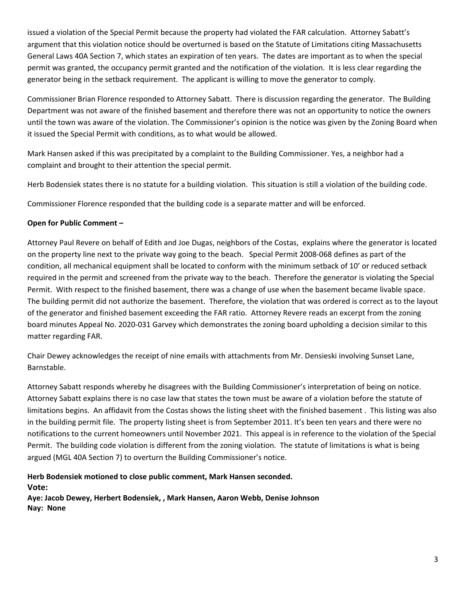issued a violation of the Special Permit because the property had violated the FAR calculation. Attorney Sabatt's argument that this violation notice should be overturned is based on the Statute of Limitations citing Massachusetts General Laws 40A Section 7, which states an expiration of ten years. The dates are important as to when the special permit was granted, the occupancy permit granted and the notification of the violation. It is less clear regarding the generator being in the setback requirement. The applicant is willing to move the generator to comply.

Commissioner Brian Florence responded to Attorney Sabatt. There is discussion regarding the generator. The Building Department was not aware of the finished basement and therefore there was not an opportunity to notice the owners until the town was aware of the violation. The Commissioner's opinion is the notice was given by the Zoning Board when it issued the Special Permit with conditions, as to what would be allowed.

Mark Hansen asked if this was precipitated by a complaint to the Building Commissioner. Yes, a neighbor had a complaint and brought to their attention the special permit.

Herb Bodensiek states there is no statute for a building violation. This situation is still a violation of the building code.

Commissioner Florence responded that the building code is a separate matter and will be enforced.

# **Open for Public Comment –**

Attorney Paul Revere on behalf of Edith and Joe Dugas, neighbors of the Costas, explains where the generator is located on the property line next to the private way going to the beach. Special Permit 2008-068 defines as part of the condition, all mechanical equipment shall be located to conform with the minimum setback of 10' or reduced setback required in the permit and screened from the private way to the beach. Therefore the generator is violating the Special Permit. With respect to the finished basement, there was a change of use when the basement became livable space. The building permit did not authorize the basement. Therefore, the violation that was ordered is correct as to the layout of the generator and finished basement exceeding the FAR ratio. Attorney Revere reads an excerpt from the zoning board minutes Appeal No. 2020-031 Garvey which demonstrates the zoning board upholding a decision similar to this matter regarding FAR.

Chair Dewey acknowledges the receipt of nine emails with attachments from Mr. Densieski involving Sunset Lane, Barnstable.

Attorney Sabatt responds whereby he disagrees with the Building Commissioner's interpretation of being on notice. Attorney Sabatt explains there is no case law that states the town must be aware of a violation before the statute of limitations begins. An affidavit from the Costas shows the listing sheet with the finished basement . This listing was also in the building permit file. The property listing sheet is from September 2011. It's been ten years and there were no notifications to the current homeowners until November 2021. This appeal is in reference to the violation of the Special Permit. The building code violation is different from the zoning violation. The statute of limitations is what is being argued (MGL 40A Section 7) to overturn the Building Commissioner's notice.

**Herb Bodensiek motioned to close public comment, Mark Hansen seconded. Vote: Aye: Jacob Dewey, Herbert Bodensiek, , Mark Hansen, Aaron Webb, Denise Johnson Nay: None**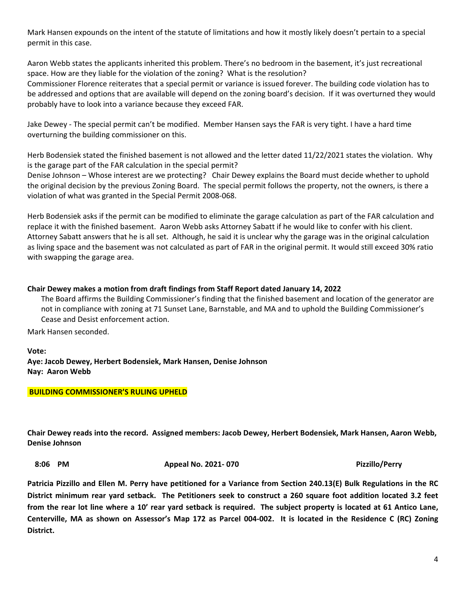Mark Hansen expounds on the intent of the statute of limitations and how it mostly likely doesn't pertain to a special permit in this case.

Aaron Webb states the applicants inherited this problem. There's no bedroom in the basement, it's just recreational space. How are they liable for the violation of the zoning? What is the resolution?

Commissioner Florence reiterates that a special permit or variance is issued forever. The building code violation has to be addressed and options that are available will depend on the zoning board's decision. If it was overturned they would probably have to look into a variance because they exceed FAR.

Jake Dewey - The special permit can't be modified. Member Hansen says the FAR is very tight. I have a hard time overturning the building commissioner on this.

Herb Bodensiek stated the finished basement is not allowed and the letter dated 11/22/2021 states the violation. Why is the garage part of the FAR calculation in the special permit?

Denise Johnson – Whose interest are we protecting? Chair Dewey explains the Board must decide whether to uphold the original decision by the previous Zoning Board. The special permit follows the property, not the owners, is there a violation of what was granted in the Special Permit 2008-068.

Herb Bodensiek asks if the permit can be modified to eliminate the garage calculation as part of the FAR calculation and replace it with the finished basement. Aaron Webb asks Attorney Sabatt if he would like to confer with his client. Attorney Sabatt answers that he is all set. Although, he said it is unclear why the garage was in the original calculation as living space and the basement was not calculated as part of FAR in the original permit. It would still exceed 30% ratio with swapping the garage area.

## **Chair Dewey makes a motion from draft findings from Staff Report dated January 14, 2022**

The Board affirms the Building Commissioner's finding that the finished basement and location of the generator are not in compliance with zoning at 71 Sunset Lane, Barnstable, and MA and to uphold the Building Commissioner's Cease and Desist enforcement action.

Mark Hansen seconded.

**Vote: Aye: Jacob Dewey, Herbert Bodensiek, Mark Hansen, Denise Johnson Nay: Aaron Webb** 

## **BUILDING COMMISSIONER'S RULING UPHELD**

**Chair Dewey reads into the record. Assigned members: Jacob Dewey, Herbert Bodensiek, Mark Hansen, Aaron Webb, Denise Johnson** 

 **8:06 PM Appeal No. 2021- 070 Pizzillo/Perry** 

**Patricia Pizzillo and Ellen M. Perry have petitioned for a Variance from Section 240.13(E) Bulk Regulations in the RC District minimum rear yard setback. The Petitioners seek to construct a 260 square foot addition located 3.2 feet from the rear lot line where a 10' rear yard setback is required. The subject property is located at 61 Antico Lane, Centerville, MA as shown on Assessor's Map 172 as Parcel 004-002. It is located in the Residence C (RC) Zoning District.**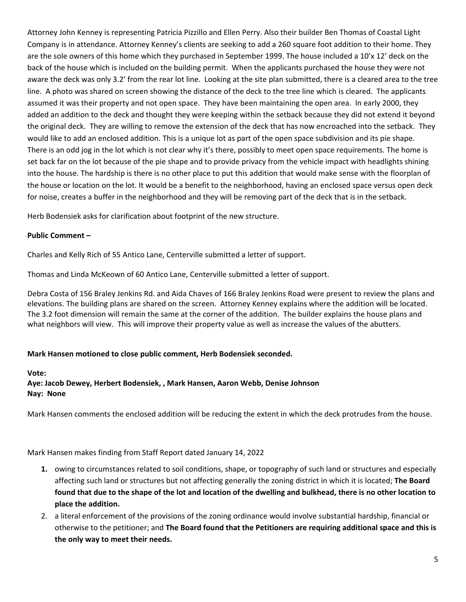Attorney John Kenney is representing Patricia Pizzillo and Ellen Perry. Also their builder Ben Thomas of Coastal Light Company is in attendance. Attorney Kenney's clients are seeking to add a 260 square foot addition to their home. They are the sole owners of this home which they purchased in September 1999. The house included a 10'x 12' deck on the back of the house which is included on the building permit. When the applicants purchased the house they were not aware the deck was only 3.2' from the rear lot line. Looking at the site plan submitted, there is a cleared area to the tree line. A photo was shared on screen showing the distance of the deck to the tree line which is cleared. The applicants assumed it was their property and not open space. They have been maintaining the open area. In early 2000, they added an addition to the deck and thought they were keeping within the setback because they did not extend it beyond the original deck. They are willing to remove the extension of the deck that has now encroached into the setback. They would like to add an enclosed addition. This is a unique lot as part of the open space subdivision and its pie shape. There is an odd jog in the lot which is not clear why it's there, possibly to meet open space requirements. The home is set back far on the lot because of the pie shape and to provide privacy from the vehicle impact with headlights shining into the house. The hardship is there is no other place to put this addition that would make sense with the floorplan of the house or location on the lot. It would be a benefit to the neighborhood, having an enclosed space versus open deck for noise, creates a buffer in the neighborhood and they will be removing part of the deck that is in the setback.

Herb Bodensiek asks for clarification about footprint of the new structure.

## **Public Comment –**

Charles and Kelly Rich of 55 Antico Lane, Centerville submitted a letter of support.

Thomas and Linda McKeown of 60 Antico Lane, Centerville submitted a letter of support.

Debra Costa of 156 Braley Jenkins Rd. and Aida Chaves of 166 Braley Jenkins Road were present to review the plans and elevations. The building plans are shared on the screen. Attorney Kenney explains where the addition will be located. The 3.2 foot dimension will remain the same at the corner of the addition. The builder explains the house plans and what neighbors will view. This will improve their property value as well as increase the values of the abutters.

# **Mark Hansen motioned to close public comment, Herb Bodensiek seconded.**

## **Vote:**

**Aye: Jacob Dewey, Herbert Bodensiek, , Mark Hansen, Aaron Webb, Denise Johnson Nay: None** 

Mark Hansen comments the enclosed addition will be reducing the extent in which the deck protrudes from the house.

Mark Hansen makes finding from Staff Report dated January 14, 2022

- **1.** owing to circumstances related to soil conditions, shape, or topography of such land or structures and especially affecting such land or structures but not affecting generally the zoning district in which it is located; **The Board found that due to the shape of the lot and location of the dwelling and bulkhead, there is no other location to place the addition.**
- 2. a literal enforcement of the provisions of the zoning ordinance would involve substantial hardship, financial or otherwise to the petitioner; and **The Board found that the Petitioners are requiring additional space and this is the only way to meet their needs.**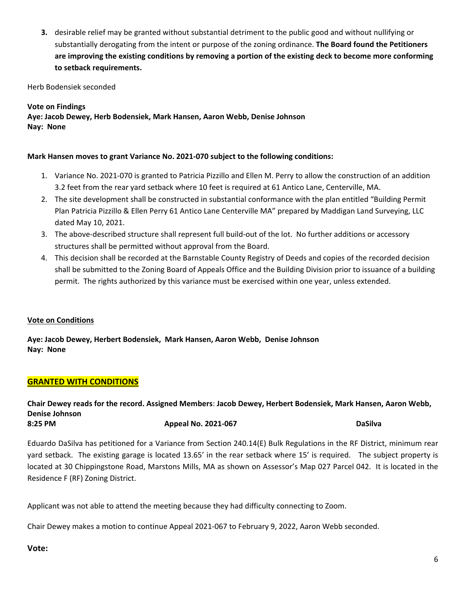**3.** desirable relief may be granted without substantial detriment to the public good and without nullifying or substantially derogating from the intent or purpose of the zoning ordinance. **The Board found the Petitioners are improving the existing conditions by removing a portion of the existing deck to become more conforming to setback requirements.** 

Herb Bodensiek seconded

**Vote on Findings Aye: Jacob Dewey, Herb Bodensiek, Mark Hansen, Aaron Webb, Denise Johnson Nay: None** 

## **Mark Hansen moves to grant Variance No. 2021-070 subject to the following conditions:**

- 1. Variance No. 2021-070 is granted to Patricia Pizzillo and Ellen M. Perry to allow the construction of an addition 3.2 feet from the rear yard setback where 10 feet is required at 61 Antico Lane, Centerville, MA.
- 2. The site development shall be constructed in substantial conformance with the plan entitled "Building Permit Plan Patricia Pizzillo & Ellen Perry 61 Antico Lane Centerville MA" prepared by Maddigan Land Surveying, LLC dated May 10, 2021.
- 3. The above-described structure shall represent full build-out of the lot. No further additions or accessory structures shall be permitted without approval from the Board.
- 4. This decision shall be recorded at the Barnstable County Registry of Deeds and copies of the recorded decision shall be submitted to the Zoning Board of Appeals Office and the Building Division prior to issuance of a building permit. The rights authorized by this variance must be exercised within one year, unless extended.

## **Vote on Conditions**

**Aye: Jacob Dewey, Herbert Bodensiek, Mark Hansen, Aaron Webb, Denise Johnson Nay: None** 

# **GRANTED WITH CONDITIONS**

## **Chair Dewey reads for the record. Assigned Members**: **Jacob Dewey, Herbert Bodensiek, Mark Hansen, Aaron Webb, Denise Johnson 8:25 PM Appeal No. 2021-067 DaSilva**

Eduardo DaSilva has petitioned for a Variance from Section 240.14(E) Bulk Regulations in the RF District, minimum rear yard setback. The existing garage is located 13.65' in the rear setback where 15' is required. The subject property is located at 30 Chippingstone Road, Marstons Mills, MA as shown on Assessor's Map 027 Parcel 042. It is located in the Residence F (RF) Zoning District.

Applicant was not able to attend the meeting because they had difficulty connecting to Zoom.

Chair Dewey makes a motion to continue Appeal 2021-067 to February 9, 2022, Aaron Webb seconded.

## **Vote:**